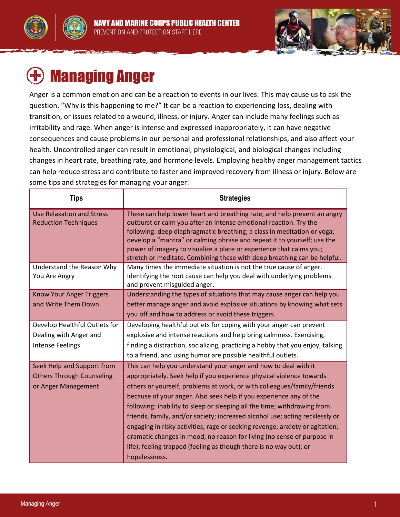



# Managing Anger

Anger is a common emotion and can be a reaction to events in our lives. This may cause us to ask the question, "Why is this happening to me?" It can be a reaction to experiencing loss, dealing with transition, or issues related to a wound, illness, or injury. Anger can include many feelings such as irritability and rage. When anger is intense and expressed inappropriately, it can have negative consequences and cause problems in our personal and professional relationships, and also affect your health. Uncontrolled anger can result in emotional, physiological, and biological changes including changes in heart rate, breathing rate, and hormone levels. Employing healthy anger management tactics can help reduce stress and contribute to faster and improved recovery from illness or injury. Below are some tips and strategies for managing your anger:

| <b>Tips</b>                                                                           | <b>Strategies</b>                                                                                                                                                                                                                                                                                                                                                                                                                                                                                                                                                                                                                                                                                     |
|---------------------------------------------------------------------------------------|-------------------------------------------------------------------------------------------------------------------------------------------------------------------------------------------------------------------------------------------------------------------------------------------------------------------------------------------------------------------------------------------------------------------------------------------------------------------------------------------------------------------------------------------------------------------------------------------------------------------------------------------------------------------------------------------------------|
| <b>Use Relaxation and Stress</b><br><b>Reduction Techniques</b>                       | These can help lower heart and breathing rate, and help prevent an angry<br>outburst or calm you after an intense emotional reaction. Try the<br>following: deep diaphragmatic breathing; a class in meditation or yoga;<br>develop a "mantra" or calming phrase and repeat it to yourself; use the<br>power of imagery to visualize a place or experience that calms you;<br>stretch or meditate. Combining these with deep breathing can be helpful.                                                                                                                                                                                                                                                |
| Understand the Reason Why<br>You Are Angry                                            | Many times the immediate situation is not the true cause of anger.<br>Identifying the root cause can help you deal with underlying problems<br>and prevent misguided anger.                                                                                                                                                                                                                                                                                                                                                                                                                                                                                                                           |
| <b>Know Your Anger Triggers</b><br>and Write Them Down                                | Understanding the types of situations that may cause anger can help you<br>better manage anger and avoid explosive situations by knowing what sets<br>you off and how to address or avoid these triggers.                                                                                                                                                                                                                                                                                                                                                                                                                                                                                             |
| Develop Healthful Outlets for<br>Dealing with Anger and                               | Developing healthful outlets for coping with your anger can prevent<br>explosive and intense reactions and help bring calmness. Exercising,                                                                                                                                                                                                                                                                                                                                                                                                                                                                                                                                                           |
| <b>Intense Feelings</b>                                                               | finding a distraction, socializing, practicing a hobby that you enjoy, talking<br>to a friend, and using humor are possible healthful outlets.                                                                                                                                                                                                                                                                                                                                                                                                                                                                                                                                                        |
| Seek Help and Support from<br><b>Others Through Counseling</b><br>or Anger Management | This can help you understand your anger and how to deal with it<br>appropriately. Seek help if you experience physical violence towards<br>others or yourself, problems at work, or with colleagues/family/friends<br>because of your anger. Also seek help if you experience any of the<br>following: inability to sleep or sleeping all the time; withdrawing from<br>friends, family, and/or society; increased alcohol use; acting recklessly or<br>engaging in risky activities; rage or seeking revenge; anxiety or agitation;<br>dramatic changes in mood; no reason for living (no sense of purpose in<br>life); feeling trapped (feeling as though there is no way out); or<br>hopelessness. |